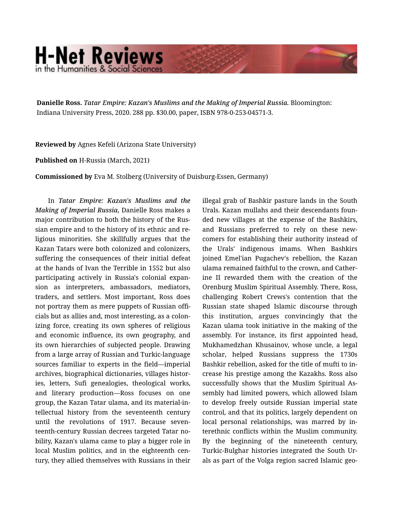## **H-Net Reviews** in the Humanities & Social Scienc

**Danielle Ross.** *Tatar Empire: Kazan's Muslims and the Making of Imperial Russia.* Bloomington: Indiana University Press, 2020. 288 pp. \$30.00, paper, ISBN 978-0-253-04571-3.

**Reviewed by** Agnes Kefeli (Arizona State University)

**Published on** H-Russia (March, 2021)

**Commissioned by** Eva M. Stolberg (University of Duisburg-Essen, Germany)

In *Tatar Empire: Kazan's Muslims and the Making of Imperial Russia*, Danielle Ross makes a major contribution to both the history of the Rus‐ sian empire and to the history of its ethnic and re‐ ligious minorities. She skillfully argues that the Kazan Tatars were both colonized and colonizers, suffering the consequences of their initial defeat at the hands of Ivan the Terrible in 1552 but also participating actively in Russia's colonial expan‐ sion as interpreters, ambassadors, mediators, traders, and settlers. Most important, Ross does not portray them as mere puppets of Russian offi‐ cials but as allies and, most interesting, as a colon‐ izing force, creating its own spheres of religious and economic influence, its own geography, and its own hierarchies of subjected people. Drawing from a large array of Russian and Turkic-language sources familiar to experts in the field—imperial archives, biographical dictionaries, villages histor‐ ies, letters, Sufi genealogies, theological works, and literary production—Ross focuses on one group, the Kazan Tatar ulama, and its material-in‐ tellectual history from the seventeenth century until the revolutions of 1917. Because seventeenth-century Russian decrees targeted Tatar no‐ bility, Kazan's ulama came to play a bigger role in local Muslim politics, and in the eighteenth century, they allied themselves with Russians in their

illegal grab of Bashkir pasture lands in the South Urals. Kazan mullahs and their descendants foun‐ ded new villages at the expense of the Bashkirs, and Russians preferred to rely on these newcomers for establishing their authority instead of the Urals' indigenous imams. When Bashkirs joined Emel'ian Pugachev's rebellion, the Kazan ulama remained faithful to the crown, and Cather‐ ine II rewarded them with the creation of the Orenburg Muslim Spiritual Assembly. There, Ross, challenging Robert Crews's contention that the Russian state shaped Islamic discourse through this institution, argues convincingly that the Kazan ulama took initiative in the making of the assembly. For instance, its first appointed head, Mukhamedzhan Khusainov, whose uncle, a legal scholar, helped Russians suppress the 1730s Bashkir rebellion, asked for the title of mufti to in‐ crease his prestige among the Kazakhs. Ross also successfully shows that the Muslim Spiritual As‐ sembly had limited powers, which allowed Islam to develop freely outside Russian imperial state control, and that its politics, largely dependent on local personal relationships, was marred by in‐ terethnic conflicts within the Muslim community. By the beginning of the nineteenth century, Turkic-Bulghar histories integrated the South Ur‐ als as part of the Volga region sacred Islamic geo‐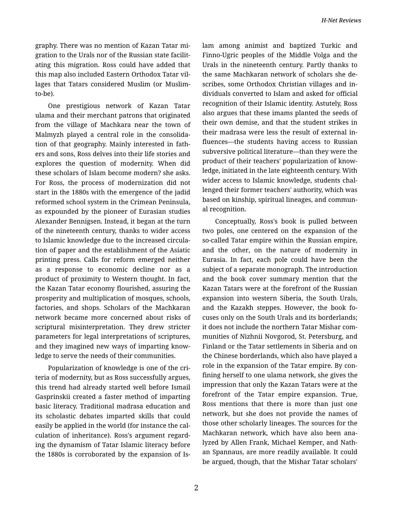graphy. There was no mention of Kazan Tatar mi‐ gration to the Urals nor of the Russian state facilit‐ ating this migration. Ross could have added that this map also included Eastern Orthodox Tatar vil‐ lages that Tatars considered Muslim (or Muslimto-be).

One prestigious network of Kazan Tatar ulama and their merchant patrons that originated from the village of Machkara near the town of Malmyzh played a central role in the consolida‐ tion of that geography. Mainly interested in fath‐ ers and sons, Ross delves into their life stories and explores the question of modernity. When did these scholars of Islam become modern? she asks. For Ross, the process of modernization did not start in the 1880s with the emergence of the jadid reformed school system in the Crimean Peninsula, as expounded by the pioneer of Eurasian studies Alexander Bennigsen. Instead, it began at the turn of the nineteenth century, thanks to wider access to Islamic knowledge due to the increased circula‐ tion of paper and the establishment of the Asiatic printing press. Calls for reform emerged neither as a response to economic decline nor as a product of proximity to Western thought. In fact, the Kazan Tatar economy flourished, assuring the prosperity and multiplication of mosques, schools, factories, and shops. Scholars of the Machkaran network became more concerned about risks of scriptural misinterpretation. They drew stricter parameters for legal interpretations of scriptures, and they imagined new ways of imparting know‐ ledge to serve the needs of their communities.

Popularization of knowledge is one of the cri‐ teria of modernity, but as Ross successfully argues, this trend had already started well before Ismail Gasprinskii created a faster method of imparting basic literacy. Traditional madrasa education and its scholastic debates imparted skills that could easily be applied in the world (for instance the cal‐ culation of inheritance). Ross's argument regard‐ ing the dynamism of Tatar Islamic literacy before the 1880s is corroborated by the expansion of Is‐ lam among animist and baptized Turkic and Finno-Ugric peoples of the Middle Volga and the Urals in the nineteenth century. Partly thanks to the same Machkaran network of scholars she de‐ scribes, some Orthodox Christian villages and in‐ dividuals converted to Islam and asked for official recognition of their Islamic identity. Astutely, Ross also argues that these imams planted the seeds of their own demise, and that the student strikes in their madrasa were less the result of external in‐ fluences—the students having access to Russian subversive political literature—than they were the product of their teachers' popularization of know‐ ledge, initiated in the late eighteenth century. With wider access to Islamic knowledge, students chal‐ lenged their former teachers' authority, which was based on kinship, spiritual lineages, and commun‐ al recognition.

Conceptually, Ross's book is pulled between two poles, one centered on the expansion of the so-called Tatar empire within the Russian empire, and the other, on the nature of modernity in Eurasia. In fact, each pole could have been the subject of a separate monograph. The introduction and the book cover summary mention that the Kazan Tatars were at the forefront of the Russian expansion into western Siberia, the South Urals, and the Kazakh steppes. However, the book fo‐ cuses only on the South Urals and its borderlands; it does not include the northern Tatar Mishar com‐ munities of Nizhnii Novgorod, St. Petersburg, and Finland or the Tatar settlements in Siberia and on the Chinese borderlands, which also have played a role in the expansion of the Tatar empire. By con‐ fining herself to one ulama network, she gives the impression that only the Kazan Tatars were at the forefront of the Tatar empire expansion. True, Ross mentions that there is more than just one network, but she does not provide the names of those other scholarly lineages. The sources for the Machkaran network, which have also been ana‐ lyzed by Allen Frank, Michael Kemper, and Nath‐ an Spannaus, are more readily available. It could be argued, though, that the Mishar Tatar scholars'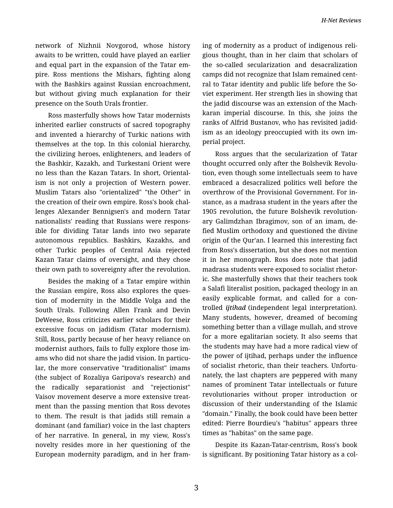network of Nizhnii Novgorod, whose history awaits to be written, could have played an earlier and equal part in the expansion of the Tatar em‐ pire. Ross mentions the Mishars, fighting along with the Bashkirs against Russian encroachment, but without giving much explanation for their presence on the South Urals frontier.

Ross masterfully shows how Tatar modernists inherited earlier constructs of sacred topography and invented a hierarchy of Turkic nations with themselves at the top. In this colonial hierarchy, the civilizing heroes, enlighteners, and leaders of the Bashkir, Kazakh, and Turkestani Orient were no less than the Kazan Tatars. In short, Oriental‐ ism is not only a projection of Western power. Muslim Tatars also "orientalized" "the Other" in the creation of their own empire. Ross's book chal‐ lenges Alexander Bennigsen's and modern Tatar nationalists' reading that Russians were respons‐ ible for dividing Tatar lands into two separate autonomous republics. Bashkirs, Kazakhs, and other Turkic peoples of Central Asia rejected Kazan Tatar claims of oversight, and they chose their own path to sovereignty after the revolution.

Besides the making of a Tatar empire within the Russian empire, Ross also explores the ques‐ tion of modernity in the Middle Volga and the South Urals. Following Allen Frank and Devin DeWeese, Ross criticizes earlier scholars for their excessive focus on jadidism (Tatar modernism). Still, Ross, partly because of her heavy reliance on modernist authors, fails to fully explore those im‐ ams who did not share the jadid vision. In particu‐ lar, the more conservative "traditionalist" imams (the subject of Rozaliya Garipova's research) and the radically separationist and "rejectionist" Vaisov movement deserve a more extensive treat‐ ment than the passing mention that Ross devotes to them. The result is that jadids still remain a dominant (and familiar) voice in the last chapters of her narrative. In general, in my view, Ross's novelty resides more in her questioning of the European modernity paradigm, and in her fram‐ ing of modernity as a product of indigenous reli‐ gious thought, than in her claim that scholars of the so-called secularization and desacralization camps did not recognize that Islam remained cent‐ ral to Tatar identity and public life before the So‐ viet experiment. Her strength lies in showing that the jadid discourse was an extension of the Mach‐ karan imperial discourse. In this, she joins the ranks of Alfrid Bustanov, who has revisited jadid‐ ism as an ideology preoccupied with its own im‐ perial project.

Ross argues that the secularization of Tatar thought occurred only after the Bolshevik Revolu‐ tion, even though some intellectuals seem to have embraced a desacralized politics well before the overthrow of the Provisional Government. For in‐ stance, as a madrasa student in the years after the 1905 revolution, the future Bolshevik revolution‐ ary Galimdzhan Ibragimov, son of an imam, de‐ fied Muslim orthodoxy and questioned the divine origin of the Qur'an. I learned this interesting fact from Ross's dissertation, but she does not mention it in her monograph. Ross does note that jadid madrasa students were exposed to socialist rhetor‐ ic. She masterfully shows that their teachers took a Salafi literalist position, packaged theology in an easily explicable format, and called for a con‐ trolled *ijtihad* (independent legal interpretation). Many students, however, dreamed of becoming something better than a village mullah, and strove for a more egalitarian society. It also seems that the students may have had a more radical view of the power of ijtihad, perhaps under the influence of socialist rhetoric, than their teachers. Unfortu‐ nately, the last chapters are peppered with many names of prominent Tatar intellectuals or future revolutionaries without proper introduction or discussion of their understanding of the Islamic "domain." Finally, the book could have been better edited: Pierre Bourdieu's "habitus" appears three times as "habitas" on the same page.

Despite its Kazan-Tatar-centrism, Ross's book is significant. By positioning Tatar history as a col‐